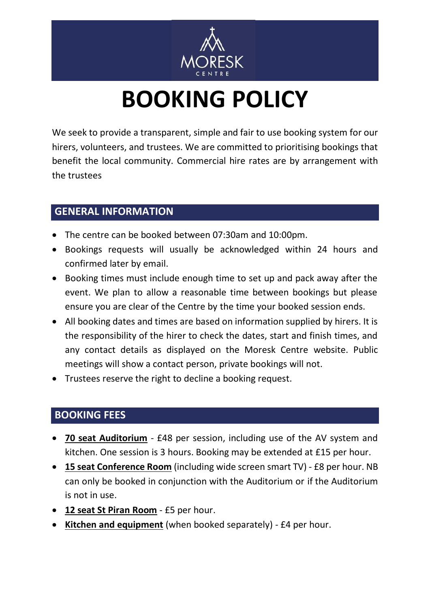

## **BOOKING POLICY**

We seek to provide a transparent, simple and fair to use booking system for our hirers, volunteers, and trustees. We are committed to prioritising bookings that benefit the local community. Commercial hire rates are by arrangement with the trustees

## **GENERAL INFORMATION**

- The centre can be booked between 07:30am and 10:00pm.
- Bookings requests will usually be acknowledged within 24 hours and confirmed later by email.
- Booking times must include enough time to set up and pack away after the event. We plan to allow a reasonable time between bookings but please ensure you are clear of the Centre by the time your booked session ends.
- All booking dates and times are based on information supplied by hirers. It is the responsibility of the hirer to check the dates, start and finish times, and any contact details as displayed on the Moresk Centre website. Public meetings will show a contact person, private bookings will not.
- Trustees reserve the right to decline a booking request.

## **BOOKING FEES**

- **70 seat Auditorium** £48 per session, including use of the AV system and kitchen. One session is 3 hours. Booking may be extended at £15 per hour.
- **15 seat Conference Room** (including wide screen smart TV) £8 per hour. NB can only be booked in conjunction with the Auditorium or if the Auditorium is not in use.
- **12 seat St Piran Room** £5 per hour.
- **Kitchen and equipment** (when booked separately) £4 per hour.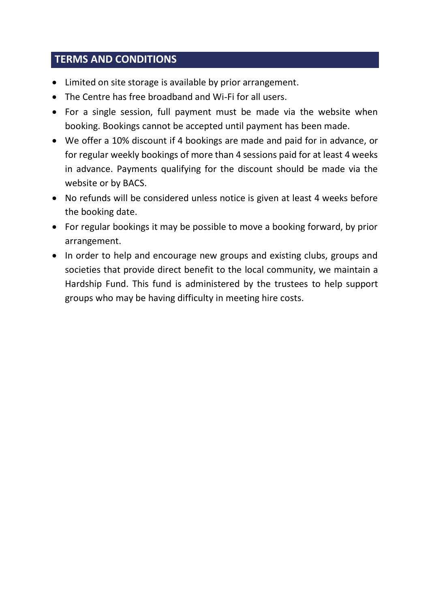## **TERMS AND CONDITIONS**

- Limited on site storage is available by prior arrangement.
- The Centre has free broadband and Wi-Fi for all users.
- For a single session, full payment must be made via the website when booking. Bookings cannot be accepted until payment has been made.
- We offer a 10% discount if 4 bookings are made and paid for in advance, or for regular weekly bookings of more than 4 sessions paid for at least 4 weeks in advance. Payments qualifying for the discount should be made via the website or by BACS.
- No refunds will be considered unless notice is given at least 4 weeks before the booking date.
- For regular bookings it may be possible to move a booking forward, by prior arrangement.
- In order to help and encourage new groups and existing clubs, groups and societies that provide direct benefit to the local community, we maintain a Hardship Fund. This fund is administered by the trustees to help support groups who may be having difficulty in meeting hire costs.